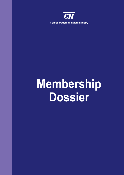

# **Membership Dossier**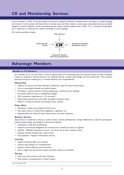## **CII and Membership Services**

Since its inception in 1895, CII has led change across sectors, helping its Member companies evolve and adapt to a rapidly changing environment. It works closely with Government on policy issues and offers industry a wide range of specialised services and global linkages to enhance efficiency; build competitiveness and expand business opportunities. Today, CII is a proactive change agent and a nodal point of reference for industry nationally as well as globally.

CII's service portfolio includes:



## **Advantage Members**

#### **Benefits to CII Members**

As a Member of CII, you will access a world of opportunities, from networking with the corporate majors of Indian and global industry to assisting in framing economic and industrial policies, through close linkage with the Government. CII's proactive approach focusses on helping you to increase efficiency and competitiveness.

#### **Networking**

- Platform to interact with other Members, Institutions, State & Central Governments
- Fora to meet global business and political leaders
- Participate in topical seminars, training programmes, conferences and meetings
- 8 overseas offices to assist in establishing linkages\*
- 394 Counterpart organizations in 133 countries\*
- Networking opportunities with Indian and global corporate majors
- Platform to enhance business and develop newer markets

#### **Policy Work**

- Participate in Expert Committees & Task Forces
- Get expert advice on Government legislations, regulations, etc.
- Representations to Central & State Governments and other Institutions

#### **Business Services**

Special focus on small/micro industry on policy matters, business development, foreign collaborations, trade fair participation, subcontracting, quality, technology & environment initiatives.

- Participate in trade fairs & exhibitions
- Industrial and business delegations are received from overseas and sent out regularly
- ASCON Affiliated Associations Council the forum for all sector specific activity
- Develop business through buyer-seller forums
- Visa facilitation / Passport Endorsement Service

#### **Learning**

- Global trends that affect your business
- Industry best practices on competitiveness
- Improve internal efficiency and productivity
- Get an insight into Government policies and their impact on businesses

#### **Sharing**

- Share your best practices with other Members
- Help enhance competitiveness of Indian industry

*\* As on December 2021*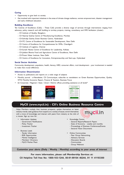#### **Caring**

- Opportunity to give back to society
- Get involved with important initiatives in the areas of climate change resilience, women empowerment, disaster management and early childhood education.

#### **Building Excellence**

Ten Centres of Excellence (CoEs) – These CoEs provide a diverse range of services through interventions ranging from advocacy, policy research and skill building to turnkey projects, training, consultancy and SME facilitation (cluster):

- CII Institute of Quality, Bengaluru
- CII Naoroji Godrej Centre of Manufacturing Excellence, Mumbai
- CII-Sohrabji Godrej Green Business Centre, Hyderabad
- CII-ITC Centre of Excellence for Sustainable Development, New Delhi
- CII Centre of Excellence for Competitiveness for SMEs, Chandigarh
- CII Institute of Logistics, Chennai
- CII-Suresh Neotia Centre of Excellence for Leadership, Kolkata
- CII-Jubilant Bhartia Food and Agriculture Centre of Excellence, New Delhi
- CII-Triveni Water Institute, New Delhi
- CII Centre of Excellence for Innovation, Entrepreneurship and Start‑ups, Hyderabad

#### **Social Sector Activities**

Community development, population, health, literacy, HRD, consumer affairs, rural development - your involvement is needed to make that crucial difference.

#### **Information Dissemination**

- Access to publications and reports on a wide range of subjects
- Monthly journal e-Newsletter, CII Communique; subscribe to newsletters on Green Business Opportunities, Quality, WTO Monthly Economic Report, Finance & Taxation, Business Focus
- 62 Corporate / Regional / State / Zonal / District offices providing assistance at all levels\*



### **MyCII (www.mycii.in) - CII's Online Business Resource Centre**

Helps Members multiply their business prospects; update themselves on latest industry trends; seek guidance from experts on a variety of issues; enrich themselves with a trove of knowledge and interact with peers from industry at the click of a mouse. Sign up now for:

- Information Updates
	- Government Notifications
	- Policy Tracker
	- Investment Tracker
- Business Leads
	- Tender Information
	- B2B Opportunities
	- Market Intelligence
	- Members' Directory
	- MyCII Market Place
- Knowledge Centre
	- Sectoral Reports/Research Papers
	- State of Economy weekly and monthly
	- Proceedings of Business Conferences/Events

mycii.in

- Sectoral Vision Documents
- Online Communities
	- Peer Group Networking
	- Advisory Services
	- Discussion Boards
	- Communities
	- Group Webinars

**Customize your alerts (Daily / Weekly / Monthly) according to your areas of interest**

**For more information, please call Membership Services at: CII Helpline Toll free No: 1800-103-1244, 00-91-99104 46244, 91 11 41193300**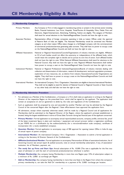#### **1. Membership Categories**

| <b>Primary Members</b>         | Any Company or Firm in India engaged in manufacturing activity or present in the services sector including<br>Banks, Financial Institutions, Law Firms, Hospitals, Travel/Tourism & Hospitality, Films, Media: Print and<br>Electronic, Digital Entertainment, Advertising, Publishing, Fashion are eligible. This category of Members<br>shall stand for annual elections to the National/Regional/State Councils and have the right to vote.                                                                                                                                                                                                      |
|--------------------------------|-----------------------------------------------------------------------------------------------------------------------------------------------------------------------------------------------------------------------------------------------------------------------------------------------------------------------------------------------------------------------------------------------------------------------------------------------------------------------------------------------------------------------------------------------------------------------------------------------------------------------------------------------------|
| <b>Associate Members</b>       | Representative offices of foreign companies operating in India as Liaison Offices under the approval<br>of Reserve Bank of India are eligible. The Associate Membership would be converted into Member<br>category as and when Liaison Office status changes to a full-fledged company with the commencement<br>of commercial production/services generating sales turnover. They shall have no power to occupy a seat<br>on the National/Regional/State Councils and shall not have the right to vote.                                                                                                                                             |
| <b>Affiliated Associations</b> | National or Regional Associations/Councils/Organisations of industry interests are eligible. Affiliation<br>to CII of such bodies would not affect the autonomy or independence of the affiliated body, which<br>would retain the complete right to decide and to pursue its own line of action. Such affiliated bodies<br>shall not have the right to vote. While National Affiliated Associations shall stand for elections to the<br>National Council, they shall not have the right to vote. Regional Affiliated Associations shall neither<br>have power to occupy a seat on the National/Regional/ State Councils not have the right to vote. |
| <b>Institutional Members</b>   | National or Regional Professional Institutes/Organisations/Boards of industry interests dealing with<br>collection and dissemination of information, research & development, technical upgradation processes,<br>exploration of new resources, etc. as distinct from industry Associations/Councils/ Organisations are<br>eligible. They shall have no power to occupy a seat on the National/Regional/State Councils and shall<br>not have the right to vote.                                                                                                                                                                                      |
|                                | International Members An international Company / Firm / Organisation / Association are eligible to become International Members.<br>They shall not be eligible to stand for election of National Council or Regional Councils or State Councils<br>or any other body and shall also not have the right to vote.                                                                                                                                                                                                                                                                                                                                     |

#### **2. Membership Admission Procedure**

- For admission as a Member of the Confederation, a Company or a Firm shall make an application in writing to the Regional Director of the respective Region on the prescribed form, which shall be signed by the applicant. The application shall contain an acceptance of, and an agreement to abide by, the rules and regulations of the Confederation.
- Such an application shall be proposed by one and seconded by another Member and may be admitted by the Regional Council of the concerned Region after the Regional / State office-bearers have approved the application form.
- All admissions, except where expressly otherwise stated, shall be made by a Regional Council and all applications for Membership shall be submitted to the Regional Director of the Region, where the applicant's principal establishment is located, being the largest establishment in terms of Gross Sales Turnover during last financial year of the applicant concerned.
- **• Primary Member :** Formal application to accompany annual report/audited accounts, company profile, entrance fee, proof of the latest investment figure in plant and machinery / equipment and annual turnover (either a registration certificate as per MSME Act or a certification by the auditors/authority (for a micro/small/medium scale company), certificate of incorporation (for a newly established company).
- **• Associate Member:** Formal application to accompany copy of RBI approval for opening Liaison Office in India & copy of annual report of parent company.
- **• International Member :** An international Company / firm / Organisation / Association to submit a formal application in writing to the Secretary & Director General of the Confederation.
- **• Affiliation/Institutional Member :** Formal application to accompany Memorandum & Rules of association/institution, list of Governing Council, last annual report & audited accounts, note on annual membership subscription, if any, of association/ institution, list of Members, payment, etc.
- **• The newly Set up Firms and Start Ups:** Annual subscription of Rs. 10,000 (This rate is applicable for the first two years of admission or until the start of commercial production/service whichever is earlier)
- **• Multiple Membership:** Any company having Membership in more than one Region pays 15% of subscription subject to a minimum of Rs. 2,000/- as surcharge per Region.
- **• Add on Membership:** Any company having membership in more than one State in the Region from where the company's primary membership is, can take the 'Add On' membership on a payment of Rs. 5,000/- surcharge per location.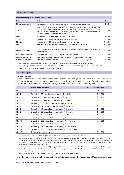#### **2a. Entrance Fee**

| <b>Manufacturing &amp; Services Enterprises</b>                                                                                                                                                                                                                                                                                    |                                                                                                                              |                    |  |  |  |
|------------------------------------------------------------------------------------------------------------------------------------------------------------------------------------------------------------------------------------------------------------------------------------------------------------------------------------|------------------------------------------------------------------------------------------------------------------------------|--------------------|--|--|--|
| <b>Enterprises</b>                                                                                                                                                                                                                                                                                                                 | <b>Criteria</b>                                                                                                              | <b>Fee</b>         |  |  |  |
| Newly registered Firms                                                                                                                                                                                                                                                                                                             | Any company which has not yet started commercial production/services.                                                        | ₹ 3,000            |  |  |  |
| As per the Government of India definition prevailing at the time of admission (Any<br>Firm up to a period of ten years from the date of incorporation/ registration in India.<br>Startups<br>Turnover of the entity for any of the financial years since incorporation/ registration has<br>not exceeded one hundred crore rupees) |                                                                                                                              | ₹ 3,000            |  |  |  |
| Micro                                                                                                                                                                                                                                                                                                                              | Investment $\lt \bar{\tau}$ I crore and Turnover $\lt \bar{\tau}$ 5 crores                                                   | ₹ 3,000            |  |  |  |
| Small                                                                                                                                                                                                                                                                                                                              | Investment $<$ $\overline{\zeta}$ 10 crores and Turnover $<$ $\overline{\zeta}$ 50 crores                                    | ₹ 3,000            |  |  |  |
| Medium                                                                                                                                                                                                                                                                                                                             | Investment $\lt \bar{\tau}$ 50 crores and Turnover $\lt \bar{\tau}$ 250 crores                                               | ₹ 10,000           |  |  |  |
| Large                                                                                                                                                                                                                                                                                                                              | More than $\overline{\xi}$ 50 crores of Investment and Turnover of $\overline{\xi}$ 250 crores                               |                    |  |  |  |
|                                                                                                                                                                                                                                                                                                                                    |                                                                                                                              |                    |  |  |  |
| India Liaison Office (Representative Offices of foreign companies operating in India as<br>Associate Member<br>Liaison Offices)                                                                                                                                                                                                    |                                                                                                                              | ₹ 10,000           |  |  |  |
| International Member                                                                                                                                                                                                                                                                                                               | International Company / firm/ Organisation / Association                                                                     | US\$ 1,000         |  |  |  |
| Affiliated Association /<br>Institutional Member                                                                                                                                                                                                                                                                                   | Professional Institutes / Associations / Institutes / Organisations - National<br>- Regional<br>Boards of Industry Interests | ₹ 2.000<br>₹ 1,000 |  |  |  |

*• Proof of the latest investment figure in plant and machinery / equipment and annual turnover is to be submitted.*

*• In the case of a Member which joins more than one Region of the Confederation, the entrance fee shall be payable only once*

*• Entrance fee shall be refunded in case the application is rejected*

#### **2b. Subscription**

#### **Primary Member**

The annual subscription due from each Member shall be calculated on a slab system on the basis of its Gross Sales Turnover during the last financial year in the case of existing Member or on the basis of an estimated turnover for such existing Members who have not finalised their Gross Sales Turnover figures or for a new Member at the following rates:

|                     | <b>Gross Sales Turnover</b>                                            | Annual Subscription ( $\bar{\tau}$ ) |
|---------------------|------------------------------------------------------------------------|--------------------------------------|
| Slab I              | Not exceeding $\overline{\xi}$ 30 lakhs                                | ₹ 7,000                              |
| Slab <sub>2</sub>   | Exceeding ₹ 30 lakhs but not exceeding ₹ 50 lakhs                      | ₹ 11,200                             |
| Slab <sub>3</sub>   | Exceeding ₹ 50 lakhs but not exceeding ₹ 1 crore                       | ₹ 15,400                             |
| Slab <sub>4</sub>   | Exceeding $\bar{\tau}$ I crore but not exceeding $\bar{\tau}$ 5 crores | ₹ 21,000                             |
| Slab 5              | Exceeding ₹ 5 crores but not exceeding ₹ 10 crores                     | ₹ 28,000                             |
| Slab 6              | Exceeding ₹ 10 crores but not exceeding ₹ 15 crores                    | ₹ 35,000                             |
| Slab <sub>7</sub>   | Exceeding ₹ 15 crores but not exceeding ₹ 25 crores                    | ₹42,000                              |
| Slab 8              | Exceeding ₹ 25 crores but not exceeding ₹ 40 crores                    | ₹ 56,000                             |
| Slab <sub>9</sub>   | Exceeding ₹ 40 crores but not exceeding ₹ 100 crores                   | ₹80,000                              |
| Slab 10             | Exceeding ₹ 100 crores but not exceeding ₹ 250 crores                  | ₹ 1,04,000                           |
| $S$ lab $  \cdot  $ | Exceeding ₹ 250 crores but not exceeding ₹ 500 crores                  | ₹ 1,44,000                           |
| Slab 12             | Exceeding ₹ 500 crores but not exceeding ₹ 750 crores                  | ₹ 1,71,000                           |
| Slab 13             | Exceeding ₹ 750 crores but not exceeding ₹ 1000 crores                 | ₹ 2,20,000                           |
| $S$ lab $14$        | Exceeding ₹ 1000 crores but not exceeding ₹ 2000 crores                | ₹ 2,60,000                           |
| Slab 15             | ₹ 2000 crores and above                                                | ₹ 3,00,000                           |

*• GST (Goods and Services Tax) 18% is applicable on the annual subscription & entrance fee amount.*

*• Any company having Membership in more than one Region (multiple Membership), will pay 15% of subscription plus applicable taxes subject to a minimum of* `*2,000/- plus applicable taxes as surcharge, per Region. Similarly, any company desirous of taking membership in more than one State in the Region from where the company's primary membership is, can take the 'Add On' membership on a payment of* `*5,000/ surcharge per location plus applicable taxes.*

*• Yearly renewal subscription becomes due on 1st January. Members are required to provide latest Gross Sales Turnover figures to CII every year for calculating the renewal subscription, If the Gross Sales Turnover figures are not submitted, billing will be on 20% increase on Gross Sales Turnover of previous year.*

*• Membership Subscription is calculated on the basis of calendar year (January - December)*

**Newly Set up Firms and not yet started commercial production / Services / Start Ups :** Annual subscription of  $\bar{z}$  10,000

**Associate Member:** Annual subscription of ₹ 1,00,000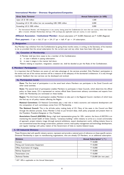#### **International Member - Overseas Organisations/Companies:**

| <b>Gross Sales Turnover</b>                                     | <b>Annual Subscription (in US\$)</b> |  |
|-----------------------------------------------------------------|--------------------------------------|--|
| Upto US \$ 100 million                                          | 1.500                                |  |
| Exceeding US \$ 100 million but not exceeding US\$ 1000 million | 2.000                                |  |
| Exceeding US \$ 1000 million                                    | 3.000                                |  |

*• The International Member, with Headquarters in one country, having joined the Confederation for more than one country, where their branch office is located, (Multiple Membership) shall pay 15% surcharge plus applicable taxes per country, to cover expenses.*

**Affiliated Association / Institutional Member:** Annual subscription of ` 25,000 (National) and ` 15,000 (Regional)

**First payment:**  $I^{st}$  qtr = full;  $2^{nd}$  qtr = 3/4;  $3^{rd}$  qtr = half;  $4^{th}$  qtr = 1/4 subscription.

#### **3. Resignation**

Any Member may withdraw from the Confederation by giving three months notice, in writing, to the Secretary, of his intention to do so provided that the annual subscription for the current year and any other dues have been fully paid up.

#### **3a. Cessation of Membership**

A Member shall *ipso facto* cease to be a member of the Confederation:

- a) in case it defaults in paying subscription;
- b) in case it resigns in the manner laid down.

Matters relating to expulsion, resignation, cessation etc. shall be decided as per the Rules of the Confederation.

#### **4. Members' Participation**

It is important that all Members are aware of, and take advantage of, the services provided. Only Members' participation in the events and use of the various services will be a measure of the adequacy of the secretariat's endeavours. It is only through members' feedback that new services can be developed and evolved.

#### **4a. Participation Levels**

**Zone:** The first level of participation is at the zonal level where Members can participate in the Zonal Councils and other zonal activities.

**State:** The second level of participation enables Members to participate in State Councils, which determine the official policy on State issues. CII is represented on various official State Government advisory committees and experts from within the Membership are nominated on these bodies.

**Region:** The third level of participation enables Members to take part in the Regional Council, members of which have the final say on all policy matters affecting the Region.

**National Committee:** CII National Committees play a vital role in India's economic and industrial development and the composition of such committees comes from CII Membership.

**The National Council:** This is the all-India policy making body of CII. Many of the seats in the Council are filled through the election process. Every Member is free to put forward ideas, draft policy proposals and present them to the President, President-Designate or Vice President.

**Associations Council (ASCON):** Being a high level representative group for 100+ sectors, the focus of ASCON is on monitoring the overall health of Indian industry, "consensus building" within industry to arrive at a crucial commonality of approach, project industry image (through sectoral exhibitions, export development work), shifting industry focus to non-conventional areas like energy conservation, pollution control, total quality management and technology development, and regular meetings with policy makers of the Government of India to resolve bilateral issues.

#### **5. CII Industrial Divisions**

These Divisions deal with specific industry sectors, represent and provide a national point of reference on these specific sectors. Divisional Membership is open to manufacturing organisations, who are already CII Members, on an additional subscription.

| <b>Divisions</b>                  | Annual Subscription* $(3)$ |
|-----------------------------------|----------------------------|
| Cement                            | ₹ 10.000                   |
| Mining and Construction Equipment | ₹ 10.000                   |
| Office Automation & Imaging       | ₹ 10.000                   |
| Railway Equipment                 | ₹ 10.000                   |
| Transmission Line                 | ₹ 10.000                   |
| <b>Technical Textiles</b>         | ₹ 25,000 (for two year)    |

\* GST 18% is applicable on the Annual Subscription.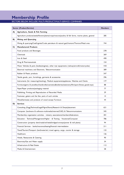## **Membership Profile**

#### SECTORS BELOW INCLUDE MULTI-PRODUCT/MULTI-SERVICE COMPANIES

| <b>Sector (Product/Service)</b> |                                                                                                       | <b>Members</b> |
|---------------------------------|-------------------------------------------------------------------------------------------------------|----------------|
| A)                              | Agriculture, Seeds & Fish Farming                                                                     |                |
|                                 | Agriculture products/seeds/flowers/plants/crops/manure/poultry & fish farms, marine plants, general   | 285            |
| B)                              | <b>Mining and Quarrying</b>                                                                           |                |
|                                 | Mining & quarrying/Coal/Lignite/Crude petroleum & natural gas/Uranium/Thorium/Metal ores              | 744            |
| C)                              | <b>Manufactured Products</b>                                                                          |                |
|                                 | Food products and Beverages                                                                           | 278            |
|                                 | Chemicals                                                                                             | 369            |
|                                 | Iron & Steel                                                                                          | 490            |
|                                 | Drug & Pharmaceuticals                                                                                | 154            |
|                                 | Motor Vehicles & parts (bodies/engines), other trpt equipments (railway/aircraft/motorcycles)         | 418            |
|                                 | Electrical machinery and Electronic, Telecommunication                                                | 389            |
|                                 | Rubber & Plastic products                                                                             | 247            |
|                                 | Textile goods, yarn, furnishings, garments & accessories                                              | 296            |
|                                 | Instruments (for measuring/checking), Medical equipments/appliances, Watches and Clocks               | 177            |
|                                 | Furniture/gems & jewellery/handicrafts/cosmetics&toiletries/stationery/film/sport,fitness goods-toys) | 88             |
|                                 | Paper/Paper products/packaging material                                                               | 77             |
|                                 | Publishing, Printing and Reproduction of Recorded Media                                               | 29             |
|                                 | Footwear, gaiters and the like; parts of such articles                                                | 4              |
|                                 | Wood/laminates and products of wood except Furniture                                                  | 44             |
| D)                              | <b>Services</b>                                                                                       |                |
|                                 | Consulting (Engg/Technical/Legal/Mgmt/Share)/Research & Devpt/placement                               | 621            |
|                                 | Computer (hardware & software-multimedia/internet/CAD) & Telecommunications                           | 345            |
|                                 | Membership organisation activities - industry associations/chambers/federations                       | 301            |
|                                 | Education - Technical/Management/Higher - & Training - Vocational/Computer                            | 786            |
|                                 | Construction (property devt/roads/rail-beds/bridges/runways/power & indl plants)                      | 94             |
|                                 | Financial Services - banks/insurance/leasing/financial intermediation                                 | 211            |
|                                 | Travel/Tourism/Transport (land/water/air) travel agency, cargo, courier & storage                     | 133            |
|                                 | Healthcare                                                                                            | 126            |
|                                 | Hotels, Restaurants & Catering                                                                        | 90             |
|                                 | Electricity/Gas and Water supply                                                                      | 34             |
|                                 | Infrastructure & Real Estate                                                                          | 112            |
|                                 | Media & Entertainment                                                                                 | 58             |